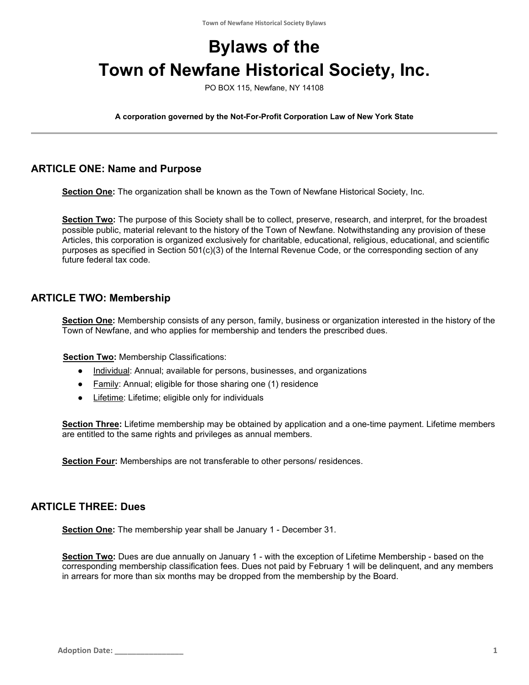# **Bylaws of the Town of Newfane Historical Society, Inc.**

PO BOX 115, Newfane, NY 14108

**A corporation governed by the Not-For-Profit Corporation Law of New York State**

#### **ARTICLE ONE: Name and Purpose**

**Section One:** The organization shall be known as the Town of Newfane Historical Society, Inc.

**Section Two:** The purpose of this Society shall be to collect, preserve, research, and interpret, for the broadest possible public, material relevant to the history of the Town of Newfane. Notwithstanding any provision of these Articles, this corporation is organized exclusively for charitable, educational, religious, educational, and scientific purposes as specified in Section 501(c)(3) of the Internal Revenue Code, or the corresponding section of any future federal tax code.

#### **ARTICLE TWO: Membership**

**Section One:** Membership consists of any person, family, business or organization interested in the history of the Town of Newfane, and who applies for membership and tenders the prescribed dues.

**Section Two: Membership Classifications:** 

- Individual: Annual; available for persons, businesses, and organizations
- Family: Annual; eligible for those sharing one (1) residence
- Lifetime: Lifetime; eligible only for individuals

**Section Three:** Lifetime membership may be obtained by application and a one-time payment. Lifetime members are entitled to the same rights and privileges as annual members.

**Section Four:** Memberships are not transferable to other persons/ residences.

#### **ARTICLE THREE: Dues**

**Section One:** The membership year shall be January 1 - December 31.

**Section Two:** Dues are due annually on January 1 - with the exception of Lifetime Membership - based on the corresponding membership classification fees. Dues not paid by February 1 will be delinquent, and any members in arrears for more than six months may be dropped from the membership by the Board.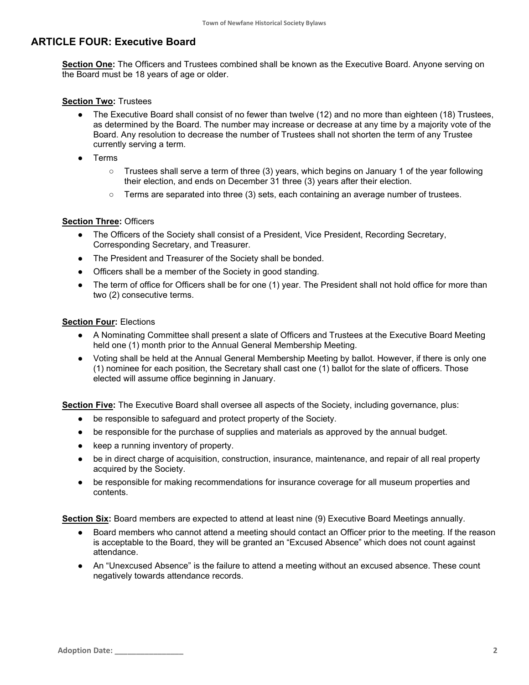#### **ARTICLE FOUR: Executive Board**

**Section One:** The Officers and Trustees combined shall be known as the Executive Board. Anyone serving on the Board must be 18 years of age or older.

#### **Section Two:** Trustees

- The Executive Board shall consist of no fewer than twelve (12) and no more than eighteen (18) Trustees, as determined by the Board. The number may increase or decrease at any time by a majority vote of the Board. Any resolution to decrease the number of Trustees shall not shorten the term of any Trustee currently serving a term.
- **Terms** 
	- Trustees shall serve a term of three (3) years, which begins on January 1 of the year following their election, and ends on December 31 three (3) years after their election.
	- Terms are separated into three (3) sets, each containing an average number of trustees.

#### **Section Three:** Officers

- The Officers of the Society shall consist of a President, Vice President, Recording Secretary, Corresponding Secretary, and Treasurer.
- The President and Treasurer of the Society shall be bonded.
- Officers shall be a member of the Society in good standing.
- The term of office for Officers shall be for one (1) year. The President shall not hold office for more than two (2) consecutive terms.

#### **Section Four:** Elections

- A Nominating Committee shall present a slate of Officers and Trustees at the Executive Board Meeting held one (1) month prior to the Annual General Membership Meeting.
- Voting shall be held at the Annual General Membership Meeting by ballot. However, if there is only one (1) nominee for each position, the Secretary shall cast one (1) ballot for the slate of officers. Those elected will assume office beginning in January.

**Section Five:** The Executive Board shall oversee all aspects of the Society, including governance, plus:

- be responsible to safeguard and protect property of the Society.
- be responsible for the purchase of supplies and materials as approved by the annual budget.
- keep a running inventory of property.
- be in direct charge of acquisition, construction, insurance, maintenance, and repair of all real property acquired by the Society.
- be responsible for making recommendations for insurance coverage for all museum properties and contents.

**Section Six:** Board members are expected to attend at least nine (9) Executive Board Meetings annually.

- Board members who cannot attend a meeting should contact an Officer prior to the meeting. If the reason is acceptable to the Board, they will be granted an "Excused Absence" which does not count against attendance.
- An "Unexcused Absence" is the failure to attend a meeting without an excused absence. These count negatively towards attendance records.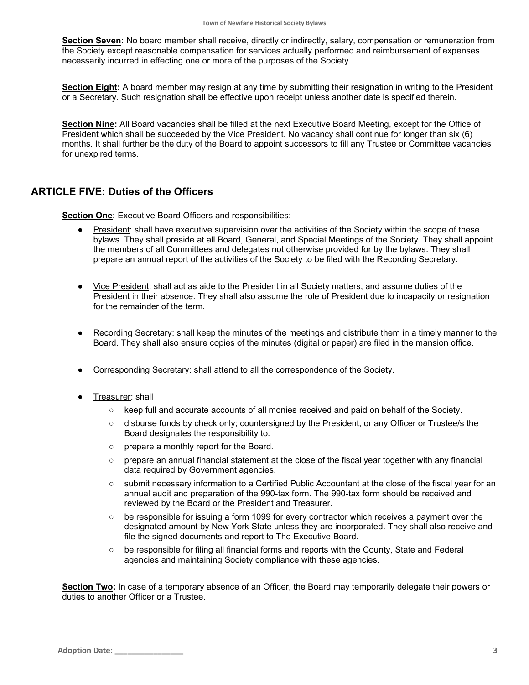**Section Seven:** No board member shall receive, directly or indirectly, salary, compensation or remuneration from the Society except reasonable compensation for services actually performed and reimbursement of expenses necessarily incurred in effecting one or more of the purposes of the Society.

**Section Eight:** A board member may resign at any time by submitting their resignation in writing to the President or a Secretary. Such resignation shall be effective upon receipt unless another date is specified therein.

**Section Nine:** All Board vacancies shall be filled at the next Executive Board Meeting, except for the Office of President which shall be succeeded by the Vice President. No vacancy shall continue for longer than six (6) months. It shall further be the duty of the Board to appoint successors to fill any Trustee or Committee vacancies for unexpired terms.

#### **ARTICLE FIVE: Duties of the Officers**

**Section One:** Executive Board Officers and responsibilities:

- President: shall have executive supervision over the activities of the Society within the scope of these bylaws. They shall preside at all Board, General, and Special Meetings of the Society. They shall appoint the members of all Committees and delegates not otherwise provided for by the bylaws. They shall prepare an annual report of the activities of the Society to be filed with the Recording Secretary.
- Vice President: shall act as aide to the President in all Society matters, and assume duties of the President in their absence. They shall also assume the role of President due to incapacity or resignation for the remainder of the term.
- Recording Secretary: shall keep the minutes of the meetings and distribute them in a timely manner to the Board. They shall also ensure copies of the minutes (digital or paper) are filed in the mansion office.
- Corresponding Secretary: shall attend to all the correspondence of the Society.
- Treasurer: shall
	- keep full and accurate accounts of all monies received and paid on behalf of the Society.
	- disburse funds by check only; countersigned by the President, or any Officer or Trustee/s the Board designates the responsibility to.
	- prepare a monthly report for the Board.
	- prepare an annual financial statement at the close of the fiscal year together with any financial data required by Government agencies.
	- submit necessary information to a Certified Public Accountant at the close of the fiscal year for an annual audit and preparation of the 990-tax form. The 990-tax form should be received and reviewed by the Board or the President and Treasurer.
	- be responsible for issuing a form 1099 for every contractor which receives a payment over the designated amount by New York State unless they are incorporated. They shall also receive and file the signed documents and report to The Executive Board.
	- be responsible for filing all financial forms and reports with the County, State and Federal agencies and maintaining Society compliance with these agencies.

**Section Two:** In case of a temporary absence of an Officer, the Board may temporarily delegate their powers or duties to another Officer or a Trustee.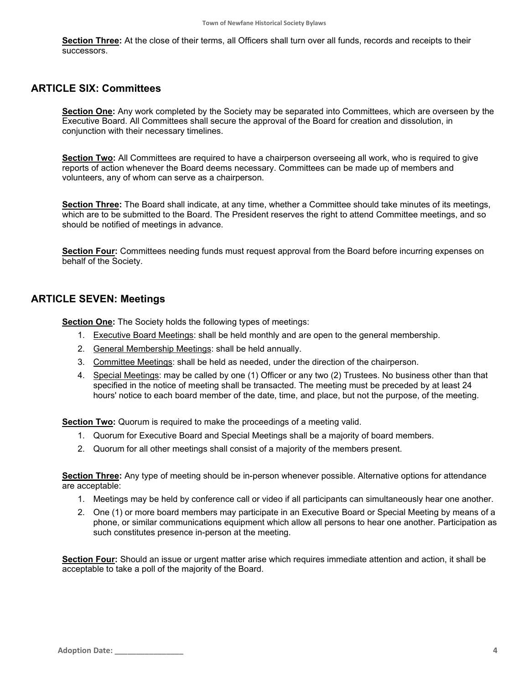**Section Three:** At the close of their terms, all Officers shall turn over all funds, records and receipts to their successors.

#### **ARTICLE SIX: Committees**

**Section One:** Any work completed by the Society may be separated into Committees, which are overseen by the Executive Board. All Committees shall secure the approval of the Board for creation and dissolution, in conjunction with their necessary timelines.

**Section Two:** All Committees are required to have a chairperson overseeing all work, who is required to give reports of action whenever the Board deems necessary. Committees can be made up of members and volunteers, any of whom can serve as a chairperson.

**Section Three:** The Board shall indicate, at any time, whether a Committee should take minutes of its meetings, which are to be submitted to the Board. The President reserves the right to attend Committee meetings, and so should be notified of meetings in advance.

**Section Four:** Committees needing funds must request approval from the Board before incurring expenses on behalf of the Society.

#### **ARTICLE SEVEN: Meetings**

**Section One:** The Society holds the following types of meetings:

- 1. Executive Board Meetings: shall be held monthly and are open to the general membership.
- 2. General Membership Meetings: shall be held annually.
- 3. Committee Meetings: shall be held as needed, under the direction of the chairperson.
- 4. Special Meetings: may be called by one (1) Officer or any two (2) Trustees. No business other than that specified in the notice of meeting shall be transacted. The meeting must be preceded by at least 24 hours' notice to each board member of the date, time, and place, but not the purpose, of the meeting.

**Section Two:** Quorum is required to make the proceedings of a meeting valid.

- 1. Quorum for Executive Board and Special Meetings shall be a majority of board members.
- 2. Quorum for all other meetings shall consist of a majority of the members present.

**Section Three:** Any type of meeting should be in-person whenever possible. Alternative options for attendance are acceptable:

- 1. Meetings may be held by conference call or video if all participants can simultaneously hear one another.
- 2. One (1) or more board members may participate in an Executive Board or Special Meeting by means of a phone, or similar communications equipment which allow all persons to hear one another. Participation as such constitutes presence in-person at the meeting.

**Section Four:** Should an issue or urgent matter arise which requires immediate attention and action, it shall be acceptable to take a poll of the majority of the Board.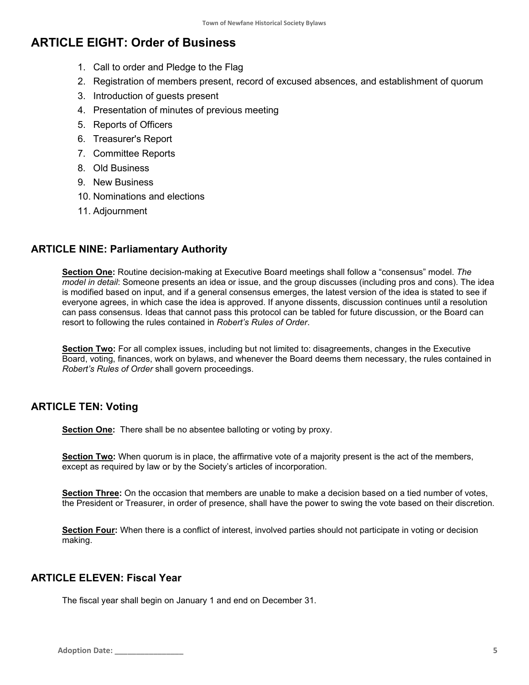## **ARTICLE EIGHT: Order of Business**

- 1. Call to order and Pledge to the Flag
- 2. Registration of members present, record of excused absences, and establishment of quorum
- 3. Introduction of guests present
- 4. Presentation of minutes of previous meeting
- 5. Reports of Officers
- 6. Treasurer's Report
- 7. Committee Reports
- 8. Old Business
- 9. New Business
- 10. Nominations and elections
- 11. Adjournment

## **ARTICLE NINE: Parliamentary Authority**

**Section One:** Routine decision-making at Executive Board meetings shall follow a "consensus" model. *The model in detail*: Someone presents an idea or issue, and the group discusses (including pros and cons). The idea is modified based on input, and if a general consensus emerges, the latest version of the idea is stated to see if everyone agrees, in which case the idea is approved. If anyone dissents, discussion continues until a resolution can pass consensus. Ideas that cannot pass this protocol can be tabled for future discussion, or the Board can resort to following the rules contained in *Robert's Rules of Order*.

**Section Two:** For all complex issues, including but not limited to: disagreements, changes in the Executive Board, voting, finances, work on bylaws, and whenever the Board deems them necessary, the rules contained in *Robert's Rules of Order* shall govern proceedings.

## **ARTICLE TEN: Voting**

**Section One:** There shall be no absentee balloting or voting by proxy.

**Section Two:** When quorum is in place, the affirmative vote of a majority present is the act of the members, except as required by law or by the Society's articles of incorporation.

**Section Three:** On the occasion that members are unable to make a decision based on a tied number of votes, the President or Treasurer, in order of presence, shall have the power to swing the vote based on their discretion.

**Section Four:** When there is a conflict of interest, involved parties should not participate in voting or decision making.

## **ARTICLE ELEVEN: Fiscal Year**

The fiscal year shall begin on January 1 and end on December 31.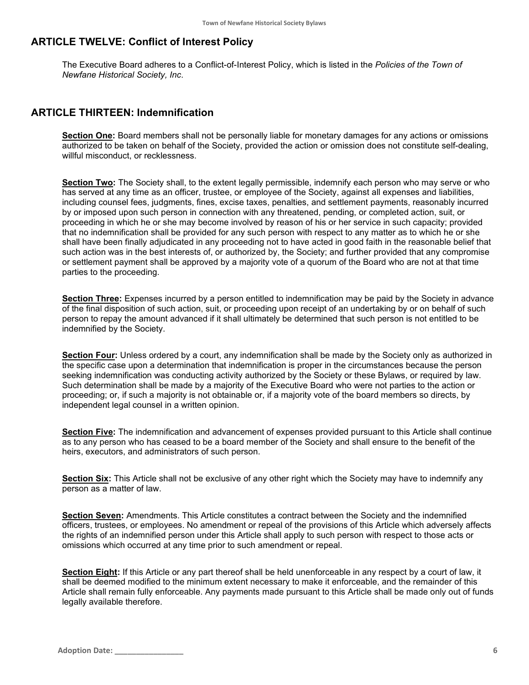#### **ARTICLE TWELVE: Conflict of Interest Policy**

The Executive Board adheres to a Conflict-of-Interest Policy, which is listed in the *Policies of the Town of Newfane Historical Society, Inc*.

#### **ARTICLE THIRTEEN: Indemnification**

**Section One:** Board members shall not be personally liable for monetary damages for any actions or omissions authorized to be taken on behalf of the Society, provided the action or omission does not constitute self-dealing, willful misconduct, or recklessness.

**Section Two:** The Society shall, to the extent legally permissible, indemnify each person who may serve or who has served at any time as an officer, trustee, or employee of the Society, against all expenses and liabilities, including counsel fees, judgments, fines, excise taxes, penalties, and settlement payments, reasonably incurred by or imposed upon such person in connection with any threatened, pending, or completed action, suit, or proceeding in which he or she may become involved by reason of his or her service in such capacity; provided that no indemnification shall be provided for any such person with respect to any matter as to which he or she shall have been finally adjudicated in any proceeding not to have acted in good faith in the reasonable belief that such action was in the best interests of, or authorized by, the Society; and further provided that any compromise or settlement payment shall be approved by a majority vote of a quorum of the Board who are not at that time parties to the proceeding.

**Section Three:** Expenses incurred by a person entitled to indemnification may be paid by the Society in advance of the final disposition of such action, suit, or proceeding upon receipt of an undertaking by or on behalf of such person to repay the amount advanced if it shall ultimately be determined that such person is not entitled to be indemnified by the Society.

**Section Four:** Unless ordered by a court, any indemnification shall be made by the Society only as authorized in the specific case upon a determination that indemnification is proper in the circumstances because the person seeking indemnification was conducting activity authorized by the Society or these Bylaws, or required by law. Such determination shall be made by a majority of the Executive Board who were not parties to the action or proceeding; or, if such a majority is not obtainable or, if a majority vote of the board members so directs, by independent legal counsel in a written opinion.

**Section Five:** The indemnification and advancement of expenses provided pursuant to this Article shall continue as to any person who has ceased to be a board member of the Society and shall ensure to the benefit of the heirs, executors, and administrators of such person.

**Section Six:** This Article shall not be exclusive of any other right which the Society may have to indemnify any person as a matter of law.

**Section Seven:** Amendments. This Article constitutes a contract between the Society and the indemnified officers, trustees, or employees. No amendment or repeal of the provisions of this Article which adversely affects the rights of an indemnified person under this Article shall apply to such person with respect to those acts or omissions which occurred at any time prior to such amendment or repeal.

**Section Eight:** If this Article or any part thereof shall be held unenforceable in any respect by a court of law, it shall be deemed modified to the minimum extent necessary to make it enforceable, and the remainder of this Article shall remain fully enforceable. Any payments made pursuant to this Article shall be made only out of funds legally available therefore.